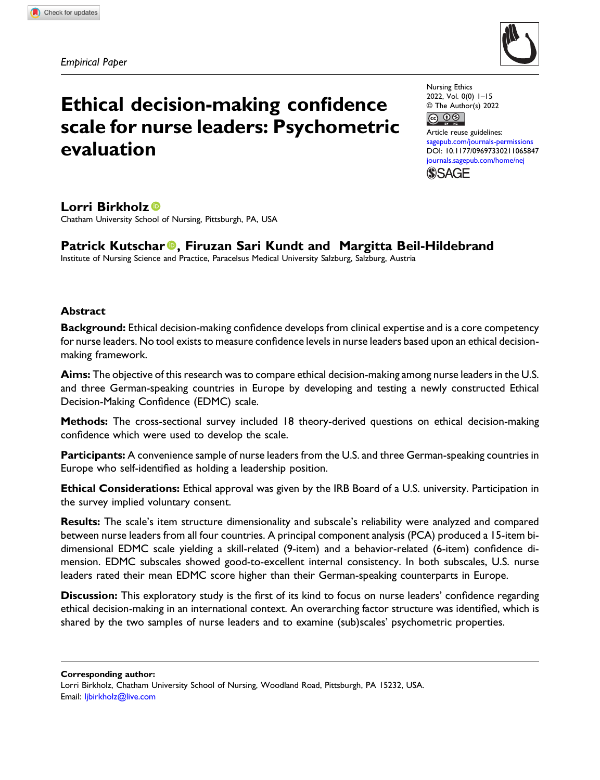Empirical Paper



# Ethical decision-making confidence scale for nurse leaders: Psychometric evaluation

Nursing Ethics 2022, Vol. 0(0) 1–15 © The Author(s) 2022 

Article reuse guidelines: [sagepub.com/journals-permissions](https://uk.sagepub.com/en-gb/journals-permissions) DOI: [10.1177/09697330211065847](https://doi.org/10.1177/09697330211065847) [journals.sagepub.com/home/nej](https://journals.sagepub.com/home/nej) **SSAGE** 

# Lorri Birkholz<sup>®</sup>

Chatham University School of Nursing, Pittsburgh, PA, USA

# Patrick Kutschar<sup>®</sup>, Firuzan Sari Kundt and Margitta Beil-Hildebrand

Institute of Nursing Science and Practice, Paracelsus Medical University Salzburg, Salzburg, Austria

# Abstract

Background: Ethical decision-making confidence develops from clinical expertise and is a core competency for nurse leaders. No tool exists to measure confidence levels in nurse leaders based upon an ethical decisionmaking framework.

Aims: The objective of this research was to compare ethical decision-making among nurse leaders in the U.S. and three German-speaking countries in Europe by developing and testing a newly constructed Ethical Decision-Making Confidence (EDMC) scale.

Methods: The cross-sectional survey included 18 theory-derived questions on ethical decision-making confidence which were used to develop the scale.

Participants: A convenience sample of nurse leaders from the U.S. and three German-speaking countries in Europe who self-identified as holding a leadership position.

Ethical Considerations: Ethical approval was given by the IRB Board of a U.S. university. Participation in the survey implied voluntary consent.

Results: The scale's item structure dimensionality and subscale's reliability were analyzed and compared between nurse leaders from all four countries. A principal component analysis (PCA) produced a 15-item bidimensional EDMC scale yielding a skill-related (9-item) and a behavior-related (6-item) confidence dimension. EDMC subscales showed good-to-excellent internal consistency. In both subscales, U.S. nurse leaders rated their mean EDMC score higher than their German-speaking counterparts in Europe.

Discussion: This exploratory study is the first of its kind to focus on nurse leaders' confidence regarding ethical decision-making in an international context. An overarching factor structure was identified, which is shared by the two samples of nurse leaders and to examine (sub)scales' psychometric properties.

Corresponding author:

Lorri Birkholz, Chatham University School of Nursing, Woodland Road, Pittsburgh, PA 15232, USA. Email: [ljbirkholz@live.com](mailto:ljbirkholz@live.com)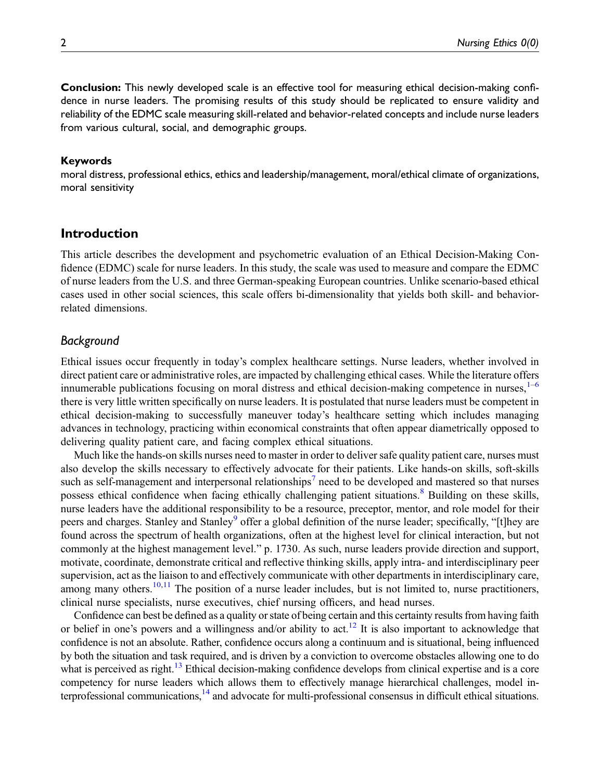Conclusion: This newly developed scale is an effective tool for measuring ethical decision-making confidence in nurse leaders. The promising results of this study should be replicated to ensure validity and reliability of the EDMC scale measuring skill-related and behavior-related concepts and include nurse leaders from various cultural, social, and demographic groups.

#### Keywords

moral distress, professional ethics, ethics and leadership/management, moral/ethical climate of organizations, moral sensitivity

# Introduction

This article describes the development and psychometric evaluation of an Ethical Decision-Making Confidence (EDMC) scale for nurse leaders. In this study, the scale was used to measure and compare the EDMC of nurse leaders from the U.S. and three German-speaking European countries. Unlike scenario-based ethical cases used in other social sciences, this scale offers bi-dimensionality that yields both skill- and behaviorrelated dimensions.

# Background

Ethical issues occur frequently in today's complex healthcare settings. Nurse leaders, whether involved in direct patient care or administrative roles, are impacted by challenging ethical cases. While the literature offers innumerable publications focusing on moral distress and ethical decision-making competence in nurses, $1-6$  $1-6$  $1-6$ there is very little written specifically on nurse leaders. It is postulated that nurse leaders must be competent in ethical decision-making to successfully maneuver today's healthcare setting which includes managing advances in technology, practicing within economical constraints that often appear diametrically opposed to delivering quality patient care, and facing complex ethical situations.

Much like the hands-on skills nurses need to master in order to deliver safe quality patient care, nurses must also develop the skills necessary to effectively advocate for their patients. Like hands-on skills, soft-skills such as self-management and interpersonal relationships<sup>[7](#page-13-2)</sup> need to be developed and mastered so that nurses possess ethical confidence when facing ethically challenging patient situations.<sup>[8](#page-13-3)</sup> Building on these skills, nurse leaders have the additional responsibility to be a resource, preceptor, mentor, and role model for their peers and charges. Stanley and Stanley<sup>[9](#page-13-4)</sup> offer a global definition of the nurse leader; specifically, "[t]hey are found across the spectrum of health organizations, often at the highest level for clinical interaction, but not commonly at the highest management level." p. 1730. As such, nurse leaders provide direction and support, motivate, coordinate, demonstrate critical and reflective thinking skills, apply intra- and interdisciplinary peer supervision, act as the liaison to and effectively communicate with other departments in interdisciplinary care, among many others.<sup>[10,](#page-13-5)[11](#page-13-6)</sup> The position of a nurse leader includes, but is not limited to, nurse practitioners, clinical nurse specialists, nurse executives, chief nursing officers, and head nurses.

Confidence can best be defined as a quality or state of being certain and this certainty results from having faith or belief in one's powers and a willingness and/or ability to act.<sup>12</sup> It is also important to acknowledge that confidence is not an absolute. Rather, confidence occurs along a continuum and is situational, being influenced by both the situation and task required, and is driven by a conviction to overcome obstacles allowing one to do what is perceived as right.<sup>[13](#page-13-8)</sup> Ethical decision-making confidence develops from clinical expertise and is a core competency for nurse leaders which allows them to effectively manage hierarchical challenges, model interprofessional communications,<sup>14</sup> and advocate for multi-professional consensus in difficult ethical situations.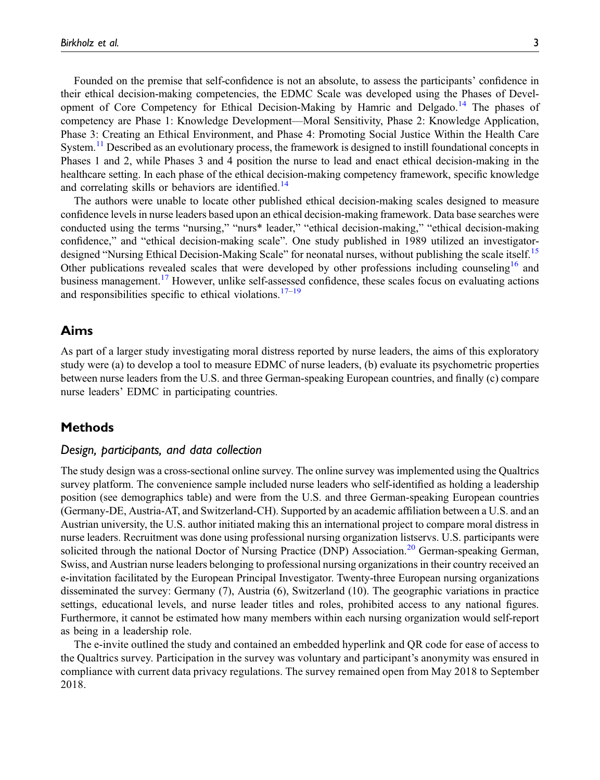Founded on the premise that self-confidence is not an absolute, to assess the participants' confidence in their ethical decision-making competencies, the EDMC Scale was developed using the Phases of Devel-opment of Core Competency for Ethical Decision-Making by Hamric and Delgado.<sup>[14](#page-13-9)</sup> The phases of competency are Phase 1: Knowledge Development—Moral Sensitivity, Phase 2: Knowledge Application, Phase 3: Creating an Ethical Environment, and Phase 4: Promoting Social Justice Within the Health Care System.<sup>[11](#page-13-6)</sup> Described as an evolutionary process, the framework is designed to instill foundational concepts in Phases 1 and 2, while Phases 3 and 4 position the nurse to lead and enact ethical decision-making in the healthcare setting. In each phase of the ethical decision-making competency framework, specific knowledge and correlating skills or behaviors are identified.<sup>[14](#page-13-9)</sup>

The authors were unable to locate other published ethical decision-making scales designed to measure confidence levels in nurse leaders based upon an ethical decision-making framework. Data base searches were conducted using the terms "nursing," "nurs\* leader," "ethical decision-making," "ethical decision-making confidence," and "ethical decision-making scale". One study published in 1989 utilized an investigator-designed "Nursing Ethical Decision-Making Scale" for neonatal nurses, without publishing the scale itself.<sup>[15](#page-13-10)</sup> Other publications revealed scales that were developed by other professions including counseling<sup>[16](#page-13-11)</sup> and business management.[17](#page-13-12) However, unlike self-assessed confidence, these scales focus on evaluating actions and responsibilities specific to ethical violations.<sup>[17](#page-13-12)–[19](#page-13-13)</sup>

# Aims

As part of a larger study investigating moral distress reported by nurse leaders, the aims of this exploratory study were (a) to develop a tool to measure EDMC of nurse leaders, (b) evaluate its psychometric properties between nurse leaders from the U.S. and three German-speaking European countries, and finally (c) compare nurse leaders' EDMC in participating countries.

# Methods

# Design, participants, and data collection

The study design was a cross-sectional online survey. The online survey was implemented using the Qualtrics survey platform. The convenience sample included nurse leaders who self-identified as holding a leadership position (see demographics table) and were from the U.S. and three German-speaking European countries (Germany-DE, Austria-AT, and Switzerland-CH). Supported by an academic affiliation between a U.S. and an Austrian university, the U.S. author initiated making this an international project to compare moral distress in nurse leaders. Recruitment was done using professional nursing organization listservs. U.S. participants were solicited through the national Doctor of Nursing Practice (DNP) Association.<sup>[20](#page-13-14)</sup> German-speaking German, Swiss, and Austrian nurse leaders belonging to professional nursing organizations in their country received an e-invitation facilitated by the European Principal Investigator. Twenty-three European nursing organizations disseminated the survey: Germany (7), Austria (6), Switzerland (10). The geographic variations in practice settings, educational levels, and nurse leader titles and roles, prohibited access to any national figures. Furthermore, it cannot be estimated how many members within each nursing organization would self-report as being in a leadership role.

The e-invite outlined the study and contained an embedded hyperlink and QR code for ease of access to the Qualtrics survey. Participation in the survey was voluntary and participant's anonymity was ensured in compliance with current data privacy regulations. The survey remained open from May 2018 to September 2018.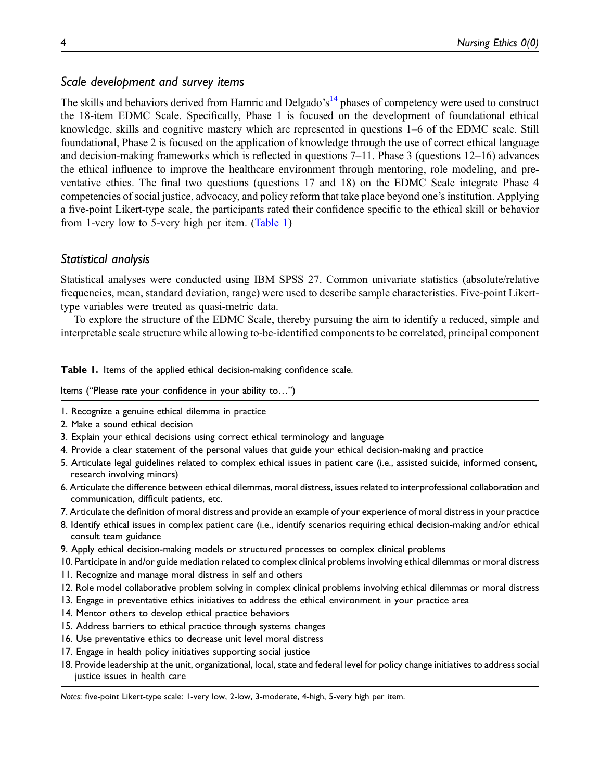# Scale development and survey items

The skills and behaviors derived from Hamric and Delgado's<sup>[14](#page-13-9)</sup> phases of competency were used to construct the 18-item EDMC Scale. Specifically, Phase 1 is focused on the development of foundational ethical knowledge, skills and cognitive mastery which are represented in questions 1–6 of the EDMC scale. Still foundational, Phase 2 is focused on the application of knowledge through the use of correct ethical language and decision-making frameworks which is reflected in questions 7–11. Phase 3 (questions 12–16) advances the ethical influence to improve the healthcare environment through mentoring, role modeling, and preventative ethics. The final two questions (questions 17 and 18) on the EDMC Scale integrate Phase 4 competencies of social justice, advocacy, and policy reform that take place beyond one's institution. Applying a five-point Likert-type scale, the participants rated their confidence specific to the ethical skill or behavior from 1-very low to 5-very high per item. [\(Table 1\)](#page-3-0)

# Statistical analysis

Statistical analyses were conducted using IBM SPSS 27. Common univariate statistics (absolute/relative frequencies, mean, standard deviation, range) were used to describe sample characteristics. Five-point Likerttype variables were treated as quasi-metric data.

To explore the structure of the EDMC Scale, thereby pursuing the aim to identify a reduced, simple and interpretable scale structure while allowing to-be-identified components to be correlated, principal component

Table 1. Items of the applied ethical decision-making confidence scale.

Items ("Please rate your confidence in your ability to…")

- 1. Recognize a genuine ethical dilemma in practice
- 2. Make a sound ethical decision
- 3. Explain your ethical decisions using correct ethical terminology and language
- 4. Provide a clear statement of the personal values that guide your ethical decision-making and practice
- 5. Articulate legal guidelines related to complex ethical issues in patient care (i.e., assisted suicide, informed consent, research involving minors)
- 6. Articulate the difference between ethical dilemmas, moral distress, issues related to interprofessional collaboration and communication, difficult patients, etc.
- 7. Articulate the definition of moral distress and provide an example of your experience of moral distress in your practice
- 8. Identify ethical issues in complex patient care (i.e., identify scenarios requiring ethical decision-making and/or ethical consult team guidance
- 9. Apply ethical decision-making models or structured processes to complex clinical problems
- 10. Participate in and/or guide mediation related to complex clinical problems involving ethical dilemmas or moral distress
- 11. Recognize and manage moral distress in self and others
- 12. Role model collaborative problem solving in complex clinical problems involving ethical dilemmas or moral distress
- 13. Engage in preventative ethics initiatives to address the ethical environment in your practice area
- 14. Mentor others to develop ethical practice behaviors
- 15. Address barriers to ethical practice through systems changes
- 16. Use preventative ethics to decrease unit level moral distress
- 17. Engage in health policy initiatives supporting social justice
- 18. Provide leadership at the unit, organizational, local, state and federal level for policy change initiatives to address social justice issues in health care

<span id="page-3-0"></span>Notes: five-point Likert-type scale: 1-very low, 2-low, 3-moderate, 4-high, 5-very high per item.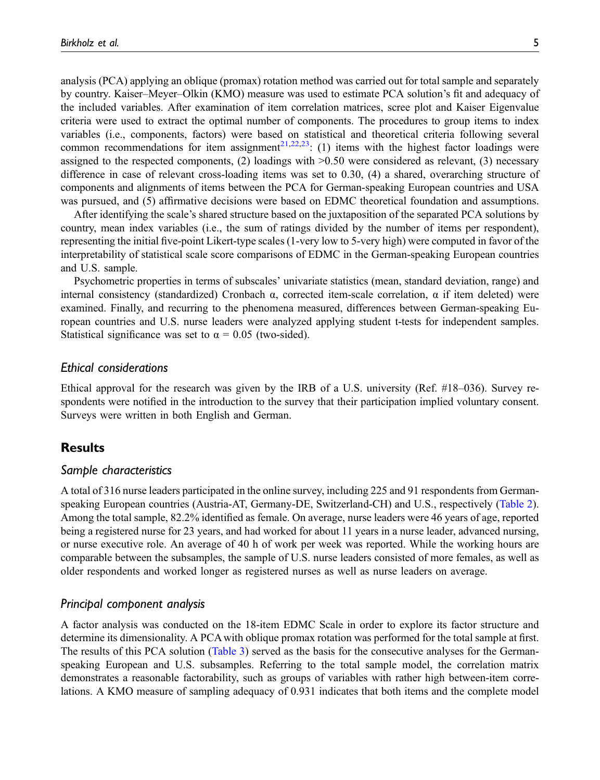analysis (PCA) applying an oblique (promax) rotation method was carried out for total sample and separately by country. Kaiser–Meyer–Olkin (KMO) measure was used to estimate PCA solution's fit and adequacy of the included variables. After examination of item correlation matrices, scree plot and Kaiser Eigenvalue criteria were used to extract the optimal number of components. The procedures to group items to index variables (i.e., components, factors) were based on statistical and theoretical criteria following several common recommendations for item assignment<sup>[21,](#page-13-15)[22](#page-13-16),23</sup>: (1) items with the highest factor loadings were assigned to the respected components, (2) loadings with  $>0.50$  were considered as relevant, (3) necessary difference in case of relevant cross-loading items was set to 0.30, (4) a shared, overarching structure of components and alignments of items between the PCA for German-speaking European countries and USA was pursued, and (5) affirmative decisions were based on EDMC theoretical foundation and assumptions.

After identifying the scale's shared structure based on the juxtaposition of the separated PCA solutions by country, mean index variables (i.e., the sum of ratings divided by the number of items per respondent), representing the initial five-point Likert-type scales (1-very low to 5-very high) were computed in favor of the interpretability of statistical scale score comparisons of EDMC in the German-speaking European countries and U.S. sample.

Psychometric properties in terms of subscales' univariate statistics (mean, standard deviation, range) and internal consistency (standardized) Cronbach α, corrected item-scale correlation,  $α$  if item deleted) were examined. Finally, and recurring to the phenomena measured, differences between German-speaking European countries and U.S. nurse leaders were analyzed applying student t-tests for independent samples. Statistical significance was set to  $\alpha = 0.05$  (two-sided).

## Ethical considerations

Ethical approval for the research was given by the IRB of a U.S. university (Ref. #18–036). Survey respondents were notified in the introduction to the survey that their participation implied voluntary consent. Surveys were written in both English and German.

# **Results**

## Sample characteristics

A total of 316 nurse leaders participated in the online survey, including 225 and 91 respondents from Germanspeaking European countries (Austria-AT, Germany-DE, Switzerland-CH) and U.S., respectively [\(Table 2\)](#page-5-0). Among the total sample, 82.2% identified as female. On average, nurse leaders were 46 years of age, reported being a registered nurse for 23 years, and had worked for about 11 years in a nurse leader, advanced nursing, or nurse executive role. An average of 40 h of work per week was reported. While the working hours are comparable between the subsamples, the sample of U.S. nurse leaders consisted of more females, as well as older respondents and worked longer as registered nurses as well as nurse leaders on average.

# Principal component analysis

A factor analysis was conducted on the 18-item EDMC Scale in order to explore its factor structure and determine its dimensionality. A PCA with oblique promax rotation was performed for the total sample at first. The results of this PCA solution [\(Table 3\)](#page-6-0) served as the basis for the consecutive analyses for the Germanspeaking European and U.S. subsamples. Referring to the total sample model, the correlation matrix demonstrates a reasonable factorability, such as groups of variables with rather high between-item correlations. A KMO measure of sampling adequacy of 0.931 indicates that both items and the complete model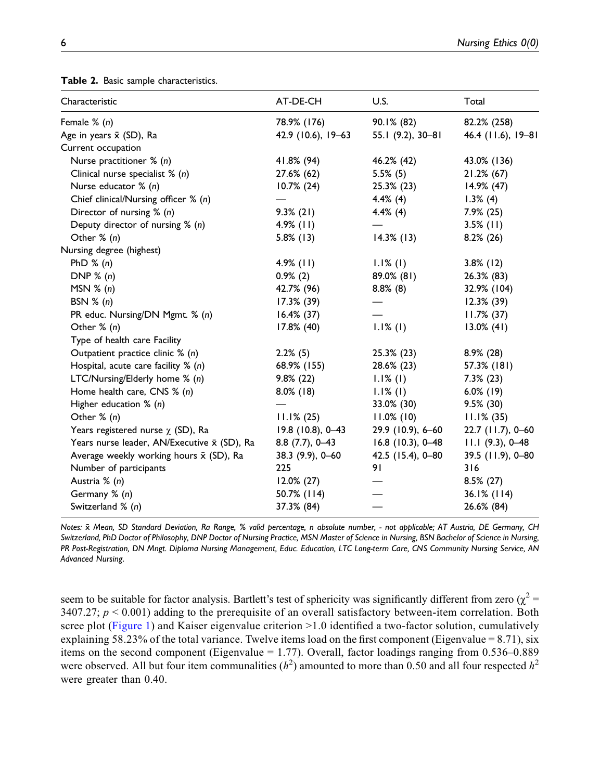| Characteristic                              | AT-DE-CH           | U.S.                | Total              |
|---------------------------------------------|--------------------|---------------------|--------------------|
| Female % (n)                                | 78.9% (176)        | 90.1% (82)          | 82.2% (258)        |
| Age in years $\bar{x}$ (SD), Ra             | 42.9 (10.6), 19-63 | 55.1 (9.2), 30-81   | 46.4 (11.6), 19–81 |
| Current occupation                          |                    |                     |                    |
| Nurse practitioner % (n)                    | 41.8% (94)         | 46.2% (42)          | 43.0% (136)        |
| Clinical nurse specialist $% (n)$           | 27.6% (62)         | $5.5\%$ (5)         | 21.2% (67)         |
| Nurse educator % (n)                        | $10.7\%$ (24)      | 25.3% (23)          | 14.9% (47)         |
| Chief clinical/Nursing officer % (n)        |                    | $4.4\%$ (4)         | $1.3\%$ (4)        |
| Director of nursing $% (n)$                 | $9.3\%$ (21)       | $4.4\%$ (4)         | $7.9\%$ (25)       |
| Deputy director of nursing $% (n)$          | $4.9\%$ (11)       |                     | $3.5\%$ (11)       |
| Other $% (n)$                               | $5.8\%$ (13)       | $14.3\%$ (13)       | $8.2\%$ (26)       |
| Nursing degree (highest)                    |                    |                     |                    |
| PhD $% (n)$                                 | $4.9%$ (11)        | $1.1\%$ (1)         | $3.8\%$ (12)       |
| DNP $\%$ (n)                                | $0.9\%$ (2)        | 89.0% (81)          | 26.3% (83)         |
| MSN $% (n)$                                 | 42.7% (96)         | $8.8\%$ (8)         | 32.9% (104)        |
| BSN $% (n)$                                 | 17.3% (39)         |                     | $12.3\%$ (39)      |
| PR educ. Nursing/DN Mgmt. % (n)             | $16.4\%$ (37)      |                     | $11.7\%$ (37)      |
| Other $% (n)$                               | 17.8% (40)         | $1.1%$ (1)          | $13.0\%$ (41)      |
| Type of health care Facility                |                    |                     |                    |
| Outpatient practice clinic % (n)            | $2.2\%$ (5)        | 25.3% (23)          | $8.9\%$ (28)       |
| Hospital, acute care facility $% (n)$       | 68.9% (155)        | 28.6% (23)          | 57.3% (181)        |
| LTC/Nursing/Elderly home % (n)              | $9.8\%(22)$        | $1.1\%$ (1)         | $7.3\%$ (23)       |
| Home health care, CNS % (n)                 | $8.0\%$ (18)       | $1.1\%$ (1)         | $6.0\%$ (19)       |
| Higher education % (n)                      |                    | 33.0% (30)          | $9.5\%$ (30)       |
| Other $% (n)$                               | $11.1\% (25)$      | $11.0\%$ (10)       | $11.1\%$ (35)      |
| Years registered nurse $\chi$ (SD), Ra      | 19.8 (10.8), 0-43  | 29.9 (10.9), 6-60   | 22.7 (11.7), 0-60  |
| Years nurse leader, AN/Executive x (SD), Ra | $8.8$ (7.7), 0-43  | $16.8$ (10.3), 0-48 | $11.1$ (9.3), 0-48 |
| Average weekly working hours x (SD), Ra     | 38.3 (9.9), 0-60   | 42.5 (15.4), 0-80   | 39.5 (11.9), 0-80  |
| Number of participants                      | 225                | 91                  | 316                |
| Austria % (n)                               | $12.0\%$ (27)      |                     | 8.5% (27)          |
| Germany % (n)                               | 50.7% (114)        |                     | $36.1\%$ (114)     |
| Switzerland % (n)                           | 37.3% (84)         |                     | 26.6% (84)         |
|                                             |                    |                     |                    |

Table 2. Basic sample characteristics.

<span id="page-5-0"></span>Notes: x Mean, SD Standard Deviation, Ra Range, % valid percentage, n absolute number, - not applicable; AT Austria, DE Germany, CH Switzerland, PhD Doctor of Philosophy, DNP Doctor of Nursing Practice, MSN Master of Science in Nursing, BSN Bachelor of Science in Nursing, PR Post-Registration, DN Mngt. Diploma Nursing Management, Educ. Education, LTC Long-term Care, CNS Community Nursing Service, AN Advanced Nursing.

seem to be suitable for factor analysis. Bartlett's test of sphericity was significantly different from zero ( $\chi^2$  = 3407.27;  $p < 0.001$ ) adding to the prerequisite of an overall satisfactory between-item correlation. Both scree plot ([Figure 1\)](#page-7-0) and Kaiser eigenvalue criterion >1.0 identified a two-factor solution, cumulatively explaining 58.23% of the total variance. Twelve items load on the first component (Eigenvalue = 8.71), six items on the second component (Eigenvalue = 1.77). Overall, factor loadings ranging from 0.536–0.889 were observed. All but four item communalities  $(h^2)$  amounted to more than 0.50 and all four respected  $h^2$ were greater than 0.40.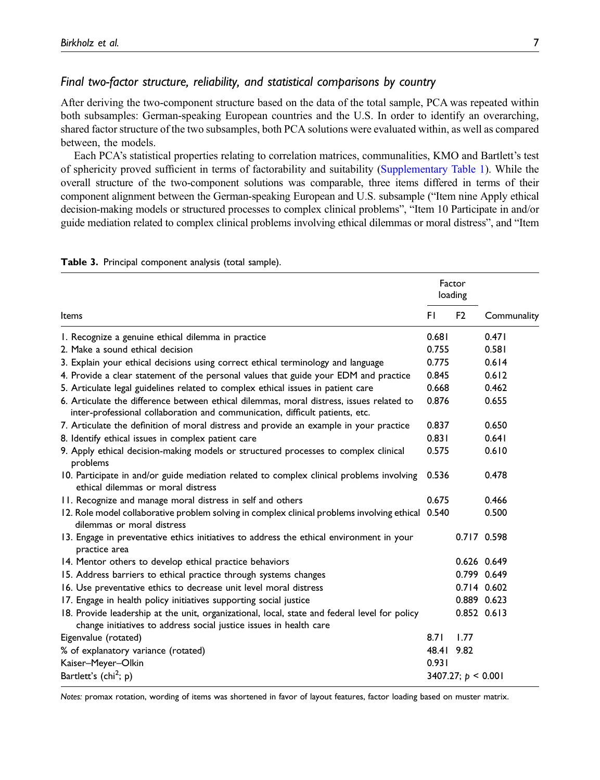# Final two-factor structure, reliability, and statistical comparisons by country

After deriving the two-component structure based on the data of the total sample, PCA was repeated within both subsamples: German-speaking European countries and the U.S. In order to identify an overarching, shared factor structure of the two subsamples, both PCA solutions were evaluated within, as well as compared between, the models.

Each PCA's statistical properties relating to correlation matrices, communalities, KMO and Bartlett's test of sphericity proved sufficient in terms of factorability and suitability [\(Supplementary Table 1](https://journals.sagepub.com/doi/suppl/10.1177/09697330211065847)). While the overall structure of the two-component solutions was comparable, three items differed in terms of their component alignment between the German-speaking European and U.S. subsample ("Item nine Apply ethical decision-making models or structured processes to complex clinical problems", "Item 10 Participate in and/or guide mediation related to complex clinical problems involving ethical dilemmas or moral distress", and "Item

|                                                                                                                                                                          |            | Factor<br>loading    |             |
|--------------------------------------------------------------------------------------------------------------------------------------------------------------------------|------------|----------------------|-------------|
| Items                                                                                                                                                                    | FI.        | F <sub>2</sub>       | Communality |
| 1. Recognize a genuine ethical dilemma in practice                                                                                                                       | 0.681      |                      | 0.471       |
| 2. Make a sound ethical decision                                                                                                                                         | 0.755      |                      | 0.581       |
| 3. Explain your ethical decisions using correct ethical terminology and language                                                                                         | 0.775      |                      | 0.614       |
| 4. Provide a clear statement of the personal values that guide your EDM and practice                                                                                     | 0.845      |                      | 0.612       |
| 5. Articulate legal guidelines related to complex ethical issues in patient care                                                                                         | 0.668      |                      | 0.462       |
| 6. Articulate the difference between ethical dilemmas, moral distress, issues related to<br>inter-professional collaboration and communication, difficult patients, etc. | 0.876      |                      | 0.655       |
| 7. Articulate the definition of moral distress and provide an example in your practice                                                                                   | 0.837      |                      | 0.650       |
| 8. Identify ethical issues in complex patient care                                                                                                                       | 0.831      |                      | 0.641       |
| 9. Apply ethical decision-making models or structured processes to complex clinical<br>problems                                                                          | 0.575      |                      | 0.610       |
| 10. Participate in and/or guide mediation related to complex clinical problems involving<br>ethical dilemmas or moral distress                                           | 0.536      |                      | 0.478       |
| 11. Recognize and manage moral distress in self and others                                                                                                               | 0.675      |                      | 0.466       |
| 12. Role model collaborative problem solving in complex clinical problems involving ethical 0.540<br>dilemmas or moral distress                                          |            |                      | 0.500       |
| 13. Engage in preventative ethics initiatives to address the ethical environment in your<br>practice area                                                                |            |                      | 0.717 0.598 |
| 14. Mentor others to develop ethical practice behaviors                                                                                                                  |            |                      | 0.626 0.649 |
| 15. Address barriers to ethical practice through systems changes                                                                                                         |            |                      | 0.799 0.649 |
| 16. Use preventative ethics to decrease unit level moral distress                                                                                                        |            |                      | 0.714 0.602 |
| 17. Engage in health policy initiatives supporting social justice                                                                                                        |            |                      | 0.889 0.623 |
| 18. Provide leadership at the unit, organizational, local, state and federal level for policy<br>change initiatives to address social justice issues in health care      |            |                      | 0.852 0.613 |
| Eigenvalue (rotated)                                                                                                                                                     | 8.71       | 1.77                 |             |
| % of explanatory variance (rotated)                                                                                                                                      | 48.41 9.82 |                      |             |
| Kaiser-Meyer-Olkin                                                                                                                                                       | 0.931      |                      |             |
| Bartlett's (chi <sup>2</sup> ; p)                                                                                                                                        |            | 3407.27; $p < 0.001$ |             |

Table 3. Principal component analysis (total sample).

<span id="page-6-0"></span>Notes: promax rotation, wording of items was shortened in favor of layout features, factor loading based on muster matrix.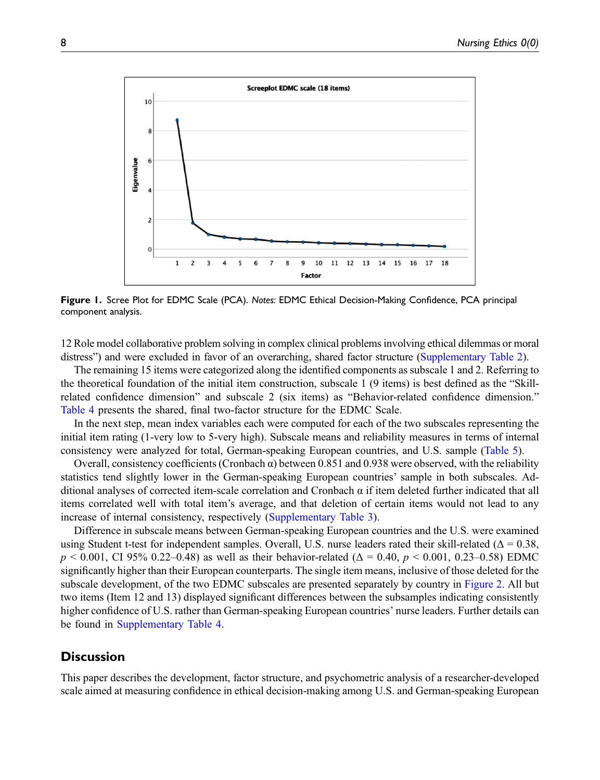

<span id="page-7-0"></span>Figure 1. Scree Plot for EDMC Scale (PCA). Notes: EDMC Ethical Decision-Making Confidence, PCA principal component analysis.

12 Role model collaborative problem solving in complex clinical problems involving ethical dilemmas or moral distress") and were excluded in favor of an overarching, shared factor structure [\(Supplementary Table 2\)](https://journals.sagepub.com/doi/suppl/10.1177/09697330211065847).

The remaining 15 items were categorized along the identified components as subscale 1 and 2. Referring to the theoretical foundation of the initial item construction, subscale 1 (9 items) is best defined as the "Skillrelated confidence dimension" and subscale 2 (six items) as "Behavior-related confidence dimension." [Table 4](#page-8-0) presents the shared, final two-factor structure for the EDMC Scale.

In the next step, mean index variables each were computed for each of the two subscales representing the initial item rating (1-very low to 5-very high). Subscale means and reliability measures in terms of internal consistency were analyzed for total, German-speaking European countries, and U.S. sample ([Table 5\)](#page-9-0).

Overall, consistency coefficients (Cronbach  $\alpha$ ) between 0.851 and 0.938 were observed, with the reliability statistics tend slightly lower in the German-speaking European countries' sample in both subscales. Additional analyses of corrected item-scale correlation and Cronbach α if item deleted further indicated that all items correlated well with total item's average, and that deletion of certain items would not lead to any increase of internal consistency, respectively [\(Supplementary Table 3\)](https://journals.sagepub.com/doi/suppl/10.1177/09697330211065847).

Difference in subscale means between German-speaking European countries and the U.S. were examined using Student t-test for independent samples. Overall, U.S. nurse leaders rated their skill-related ( $\Delta = 0.38$ ,  $p \le 0.001$ , CI 95% 0.22–0.48) as well as their behavior-related ( $\Delta = 0.40$ ,  $p \le 0.001$ , 0.23–0.58) EDMC significantly higher than their European counterparts. The single item means, inclusive of those deleted for the subscale development, of the two EDMC subscales are presented separately by country in [Figure 2](#page-10-0). All but two items (Item 12 and 13) displayed significant differences between the subsamples indicating consistently higher confidence of U.S. rather than German-speaking European countries' nurse leaders. Further details can be found in [Supplementary Table 4.](https://journals.sagepub.com/doi/suppl/10.1177/09697330211065847)

# **Discussion**

This paper describes the development, factor structure, and psychometric analysis of a researcher-developed scale aimed at measuring confidence in ethical decision-making among U.S. and German-speaking European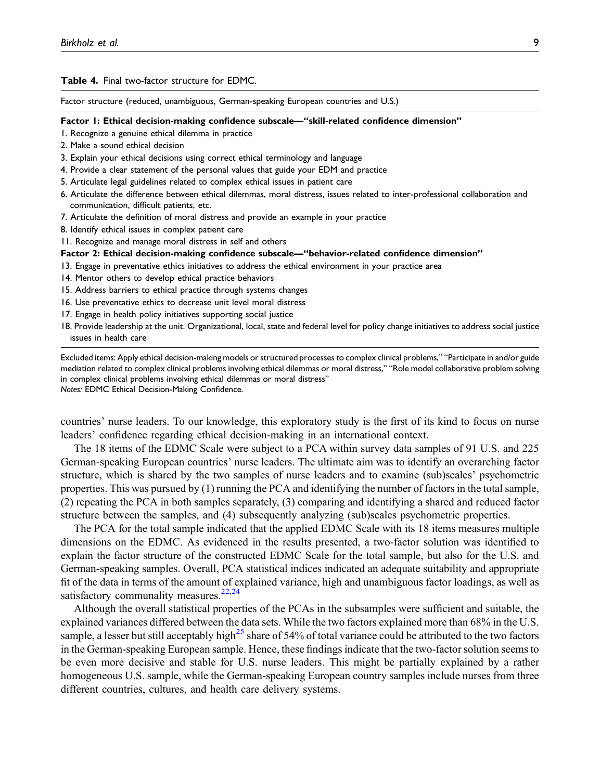#### Table 4. Final two-factor structure for EDMC.

Factor structure (reduced, unambiguous, German-speaking European countries and U.S.)

#### Factor 1: Ethical decision-making confidence subscale—"skill-related confidence dimension"

- 1. Recognize a genuine ethical dilemma in practice
- 2. Make a sound ethical decision
- 3. Explain your ethical decisions using correct ethical terminology and language
- 4. Provide a clear statement of the personal values that guide your EDM and practice
- 5. Articulate legal guidelines related to complex ethical issues in patient care
- 6. Articulate the difference between ethical dilemmas, moral distress, issues related to inter-professional collaboration and communication, difficult patients, etc.
- 7. Articulate the definition of moral distress and provide an example in your practice
- 8. Identify ethical issues in complex patient care

11. Recognize and manage moral distress in self and others

#### Factor 2: Ethical decision-making confidence subscale—"behavior-related confidence dimension"

- 13. Engage in preventative ethics initiatives to address the ethical environment in your practice area
- 14. Mentor others to develop ethical practice behaviors
- 15. Address barriers to ethical practice through systems changes
- 16. Use preventative ethics to decrease unit level moral distress
- 17. Engage in health policy initiatives supporting social justice
- 18. Provide leadership at the unit. Organizational, local, state and federal level for policy change initiatives to address social justice issues in health care

<span id="page-8-0"></span>Excluded items: Apply ethical decision-making models or structured processes to complex clinical problems," "Participate in and/or guide mediation related to complex clinical problems involving ethical dilemmas or moral distress," "Role model collaborative problem solving in complex clinical problems involving ethical dilemmas or moral distress" Notes: EDMC Ethical Decision-Making Confidence.

countries' nurse leaders. To our knowledge, this exploratory study is the first of its kind to focus on nurse leaders' confidence regarding ethical decision-making in an international context.

The 18 items of the EDMC Scale were subject to a PCA within survey data samples of 91 U.S. and 225 German-speaking European countries' nurse leaders. The ultimate aim was to identify an overarching factor structure, which is shared by the two samples of nurse leaders and to examine (sub)scales' psychometric properties. This was pursued by (1) running the PCA and identifying the number of factors in the total sample, (2) repeating the PCA in both samples separately, (3) comparing and identifying a shared and reduced factor structure between the samples, and (4) subsequently analyzing (sub)scales psychometric properties.

The PCA for the total sample indicated that the applied EDMC Scale with its 18 items measures multiple dimensions on the EDMC. As evidenced in the results presented, a two-factor solution was identified to explain the factor structure of the constructed EDMC Scale for the total sample, but also for the U.S. and German-speaking samples. Overall, PCA statistical indices indicated an adequate suitability and appropriate fit of the data in terms of the amount of explained variance, high and unambiguous factor loadings, as well as satisfactory communality measures.<sup>[22](#page-13-16),[24](#page-14-0)</sup>

Although the overall statistical properties of the PCAs in the subsamples were sufficient and suitable, the explained variances differed between the data sets. While the two factors explained more than 68% in the U.S. sample, a lesser but still acceptably high<sup>[25](#page-14-1)</sup> share of 54% of total variance could be attributed to the two factors in the German-speaking European sample. Hence, these findings indicate that the two-factor solution seems to be even more decisive and stable for U.S. nurse leaders. This might be partially explained by a rather homogeneous U.S. sample, while the German-speaking European country samples include nurses from three different countries, cultures, and health care delivery systems.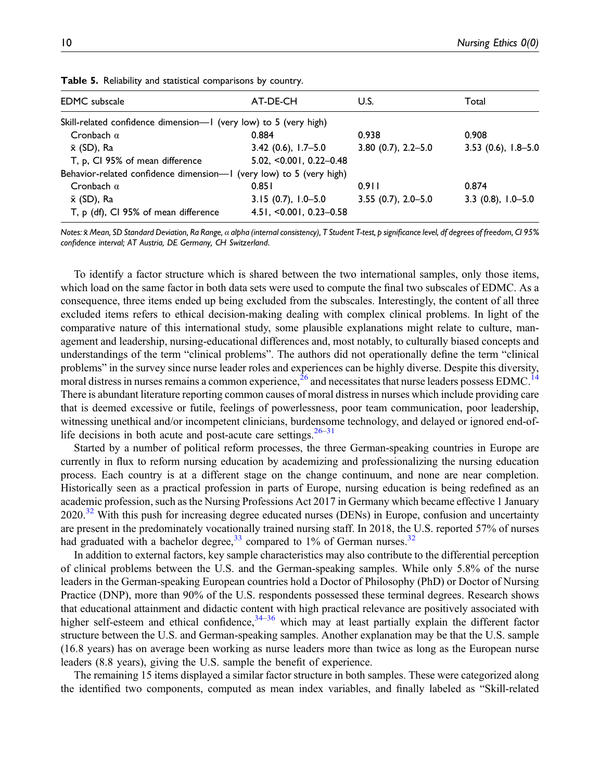| <b>EDMC</b> subscale                                                | AT-DE-CH                    | U.S.                   | Total                 |
|---------------------------------------------------------------------|-----------------------------|------------------------|-----------------------|
| Skill-related confidence dimension--- I (very low) to 5 (very high) |                             |                        |                       |
| Cronbach $\alpha$                                                   | 0.884                       | 0.938                  | 0.908                 |
| x (SD), Ra                                                          | $3.42(0.6), 1.7-5.0$        | $3.80(0.7), 2.2 - 5.0$ | $3.53$ (0.6), 1.8-5.0 |
| T, p, CI 95% of mean difference                                     | $5.02, <0.001, 0.22 - 0.48$ |                        |                       |
| Behavior-related confidence dimension-I (very low) to 5 (very high) |                             |                        |                       |
| Cronbach $\alpha$                                                   | 0.851                       | 0.911                  | 0.874                 |
| x (SD), Ra                                                          | $3.15(0.7), 1.0-5.0$        | $3.55(0.7), 2.0 - 5.0$ | $3.3(0.8), 1.0-5.0$   |
| T, p (df), CI 95% of mean difference                                | $4.51, -0.001, 0.23 - 0.58$ |                        |                       |

Table 5. Reliability and statistical comparisons by country.

<span id="page-9-0"></span>Notes:  $\bar{x}$  Mean, SD Standard Deviation, Ra Range, α alpha (internal consistency), T Student T-test, p significance level, df degrees of freedom, CI 95% confidence interval; AT Austria, DE Germany, CH Switzerland.

To identify a factor structure which is shared between the two international samples, only those items, which load on the same factor in both data sets were used to compute the final two subscales of EDMC. As a consequence, three items ended up being excluded from the subscales. Interestingly, the content of all three excluded items refers to ethical decision-making dealing with complex clinical problems. In light of the comparative nature of this international study, some plausible explanations might relate to culture, management and leadership, nursing-educational differences and, most notably, to culturally biased concepts and understandings of the term "clinical problems". The authors did not operationally define the term "clinical problems" in the survey since nurse leader roles and experiences can be highly diverse. Despite this diversity, moral distress in nurses remains a common experience,  $^{26}$  $^{26}$  $^{26}$  and necessitates that nurse leaders possess EDMC.<sup>[14](#page-13-9)</sup> There is abundant literature reporting common causes of moral distress in nurses which include providing care that is deemed excessive or futile, feelings of powerlessness, poor team communication, poor leadership, witnessing unethical and/or incompetent clinicians, burdensome technology, and delayed or ignored end-oflife decisions in both acute and post-acute care settings. $26-31$  $26-31$  $26-31$ 

Started by a number of political reform processes, the three German-speaking countries in Europe are currently in flux to reform nursing education by academizing and professionalizing the nursing education process. Each country is at a different stage on the change continuum, and none are near completion. Historically seen as a practical profession in parts of Europe, nursing education is being redefined as an academic profession, such as the Nursing Professions Act 2017 in Germany which became effective 1 January  $2020$ .<sup>[32](#page-14-4)</sup> With this push for increasing degree educated nurses (DENs) in Europe, confusion and uncertainty are present in the predominately vocationally trained nursing staff. In 2018, the U.S. reported 57% of nurses had graduated with a bachelor degree,  $33 \text{ compared to } 1\%$  $33 \text{ compared to } 1\%$  of German nurses.  $32 \text{ }$  $32 \text{ }$ 

In addition to external factors, key sample characteristics may also contribute to the differential perception of clinical problems between the U.S. and the German-speaking samples. While only 5.8% of the nurse leaders in the German-speaking European countries hold a Doctor of Philosophy (PhD) or Doctor of Nursing Practice (DNP), more than 90% of the U.S. respondents possessed these terminal degrees. Research shows that educational attainment and didactic content with high practical relevance are positively associated with higher self-esteem and ethical confidence,  $34-36$  $34-36$  $34-36$  which may at least partially explain the different factor structure between the U.S. and German-speaking samples. Another explanation may be that the U.S. sample (16.8 years) has on average been working as nurse leaders more than twice as long as the European nurse leaders (8.8 years), giving the U.S. sample the benefit of experience.

The remaining 15 items displayed a similar factor structure in both samples. These were categorized along the identified two components, computed as mean index variables, and finally labeled as "Skill-related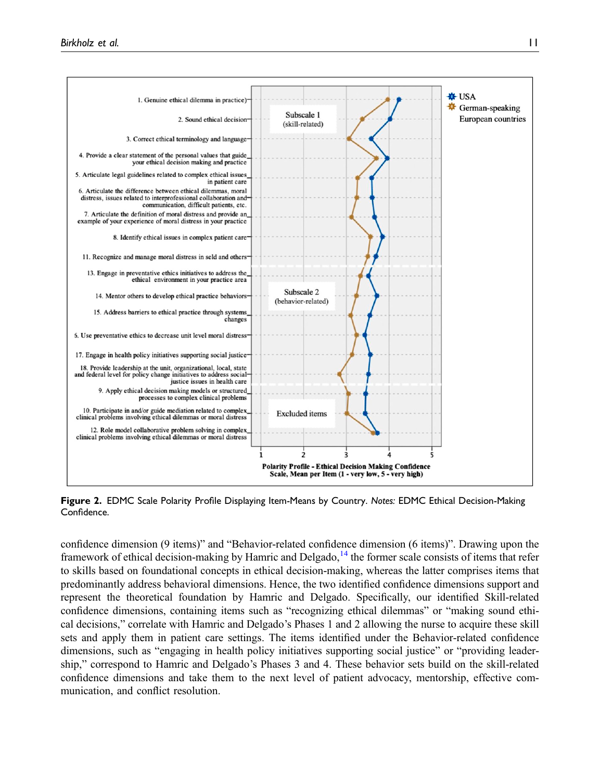

<span id="page-10-0"></span>Figure 2. EDMC Scale Polarity Profile Displaying Item-Means by Country. Notes: EDMC Ethical Decision-Making Confidence.

confidence dimension (9 items)" and "Behavior-related confidence dimension (6 items)". Drawing upon the framework of ethical decision-making by Hamric and Delgado,  $14$  the former scale consists of items that refer to skills based on foundational concepts in ethical decision-making, whereas the latter comprises items that predominantly address behavioral dimensions. Hence, the two identified confidence dimensions support and represent the theoretical foundation by Hamric and Delgado. Specifically, our identified Skill-related confidence dimensions, containing items such as "recognizing ethical dilemmas" or "making sound ethical decisions," correlate with Hamric and Delgado's Phases 1 and 2 allowing the nurse to acquire these skill sets and apply them in patient care settings. The items identified under the Behavior-related confidence dimensions, such as "engaging in health policy initiatives supporting social justice" or "providing leadership," correspond to Hamric and Delgado's Phases 3 and 4. These behavior sets build on the skill-related confidence dimensions and take them to the next level of patient advocacy, mentorship, effective communication, and conflict resolution.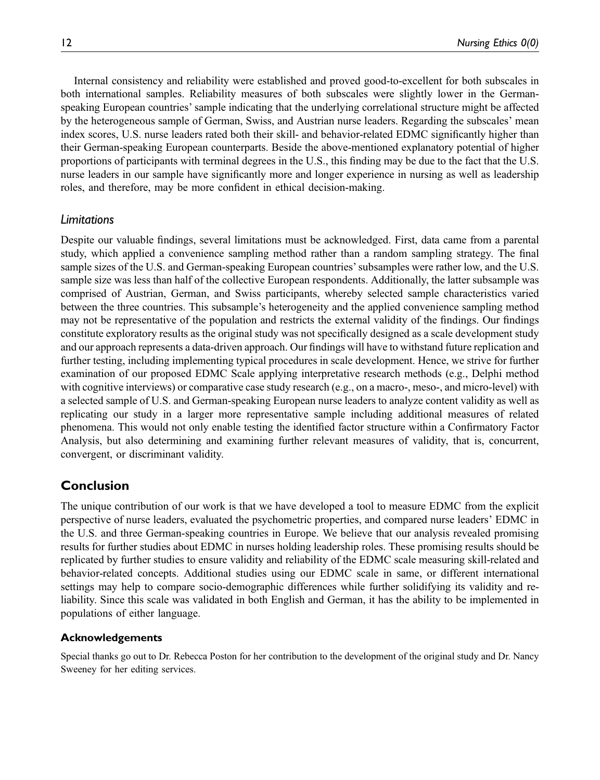Internal consistency and reliability were established and proved good-to-excellent for both subscales in both international samples. Reliability measures of both subscales were slightly lower in the Germanspeaking European countries' sample indicating that the underlying correlational structure might be affected by the heterogeneous sample of German, Swiss, and Austrian nurse leaders. Regarding the subscales' mean index scores, U.S. nurse leaders rated both their skill- and behavior-related EDMC significantly higher than their German-speaking European counterparts. Beside the above-mentioned explanatory potential of higher proportions of participants with terminal degrees in the U.S., this finding may be due to the fact that the U.S. nurse leaders in our sample have significantly more and longer experience in nursing as well as leadership roles, and therefore, may be more confident in ethical decision-making.

# Limitations

Despite our valuable findings, several limitations must be acknowledged. First, data came from a parental study, which applied a convenience sampling method rather than a random sampling strategy. The final sample sizes of the U.S. and German-speaking European countries'subsamples were rather low, and the U.S. sample size was less than half of the collective European respondents. Additionally, the latter subsample was comprised of Austrian, German, and Swiss participants, whereby selected sample characteristics varied between the three countries. This subsample's heterogeneity and the applied convenience sampling method may not be representative of the population and restricts the external validity of the findings. Our findings constitute exploratory results as the original study was not specifically designed as a scale development study and our approach represents a data-driven approach. Our findings will have to withstand future replication and further testing, including implementing typical procedures in scale development. Hence, we strive for further examination of our proposed EDMC Scale applying interpretative research methods (e.g., Delphi method with cognitive interviews) or comparative case study research (e.g., on a macro-, meso-, and micro-level) with a selected sample of U.S. and German-speaking European nurse leaders to analyze content validity as well as replicating our study in a larger more representative sample including additional measures of related phenomena. This would not only enable testing the identified factor structure within a Confirmatory Factor Analysis, but also determining and examining further relevant measures of validity, that is, concurrent, convergent, or discriminant validity.

# Conclusion

The unique contribution of our work is that we have developed a tool to measure EDMC from the explicit perspective of nurse leaders, evaluated the psychometric properties, and compared nurse leaders' EDMC in the U.S. and three German-speaking countries in Europe. We believe that our analysis revealed promising results for further studies about EDMC in nurses holding leadership roles. These promising results should be replicated by further studies to ensure validity and reliability of the EDMC scale measuring skill-related and behavior-related concepts. Additional studies using our EDMC scale in same, or different international settings may help to compare socio-demographic differences while further solidifying its validity and reliability. Since this scale was validated in both English and German, it has the ability to be implemented in populations of either language.

# Acknowledgements

Special thanks go out to Dr. Rebecca Poston for her contribution to the development of the original study and Dr. Nancy Sweeney for her editing services.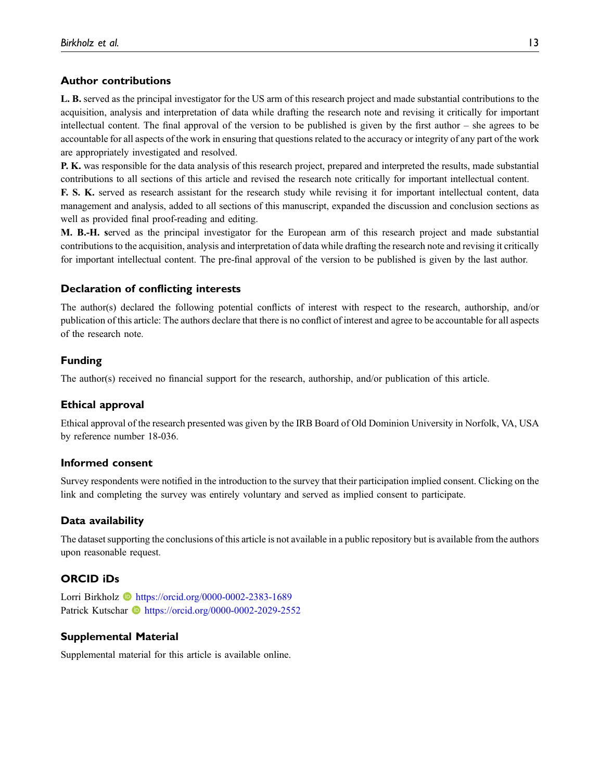# Author contributions

L. B. served as the principal investigator for the US arm of this research project and made substantial contributions to the acquisition, analysis and interpretation of data while drafting the research note and revising it critically for important intellectual content. The final approval of the version to be published is given by the first author – she agrees to be accountable for all aspects of the work in ensuring that questions related to the accuracy or integrity of any part of the work are appropriately investigated and resolved.

P. K. was responsible for the data analysis of this research project, prepared and interpreted the results, made substantial contributions to all sections of this article and revised the research note critically for important intellectual content.

F. S. K. served as research assistant for the research study while revising it for important intellectual content, data management and analysis, added to all sections of this manuscript, expanded the discussion and conclusion sections as well as provided final proof-reading and editing.

M. B.-H. served as the principal investigator for the European arm of this research project and made substantial contributions to the acquisition, analysis and interpretation of data while drafting the research note and revising it critically for important intellectual content. The pre-final approval of the version to be published is given by the last author.

# Declaration of conflicting interests

The author(s) declared the following potential conflicts of interest with respect to the research, authorship, and/or publication of this article: The authors declare that there is no conflict of interest and agree to be accountable for all aspects of the research note.

# Funding

The author(s) received no financial support for the research, authorship, and/or publication of this article.

# Ethical approval

Ethical approval of the research presented was given by the IRB Board of Old Dominion University in Norfolk, VA, USA by reference number 18-036.

# Informed consent

Survey respondents were notified in the introduction to the survey that their participation implied consent. Clicking on the link and completing the survey was entirely voluntary and served as implied consent to participate.

# Data availability

The dataset supporting the conclusions of this article is not available in a public repository but is available from the authors upon reasonable request.

# ORCID iDs

Lorri Birkholz **b** <https://orcid.org/0000-0002-2383-1689> Patrick Kutschar **b** <https://orcid.org/0000-0002-2029-2552>

# Supplemental Material

Supplemental material for this article is available online.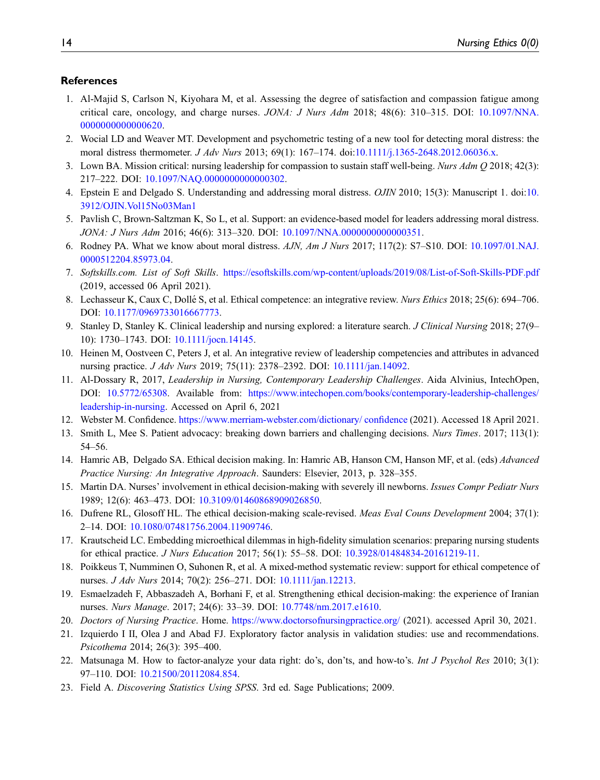## References

- <span id="page-13-0"></span>1. Al-Majid S, Carlson N, Kiyohara M, et al. Assessing the degree of satisfaction and compassion fatigue among critical care, oncology, and charge nurses. JONA: J Nurs Adm 2018; 48(6): 310–315. DOI: [10.1097/NNA.](https://doi.org/10.1097/NNA.0000000000000620) [0000000000000620.](https://doi.org/10.1097/NNA.0000000000000620)
- 2. Wocial LD and Weaver MT. Development and psychometric testing of a new tool for detecting moral distress: the moral distress thermometer. *J Adv Nurs* 2013; 69(1): 167–174. doi[:10.1111/j.1365-2648.2012.06036.x.](https://doi.org/10.1111/j.1365-2648.2012.06036.x)
- 3. Lown BA. Mission critical: nursing leadership for compassion to sustain staff well-being. Nurs Adm Q 2018; 42(3): 217–222. DOI: [10.1097/NAQ.0000000000000302](https://doi.org/10.1097/NAQ.0000000000000302).
- 4. Epstein E and Delgado S. Understanding and addressing moral distress. OJIN 2010; 15(3): Manuscript 1. doi[:10.](https://doi.org/10.3912/OJIN.Vol15No03Man1) [3912/OJIN.Vol15No03Man1](https://doi.org/10.3912/OJIN.Vol15No03Man1)
- 5. Pavlish C, Brown-Saltzman K, So L, et al. Support: an evidence-based model for leaders addressing moral distress. JONA: J Nurs Adm 2016; 46(6): 313–320. DOI: [10.1097/NNA.0000000000000351.](https://doi.org/10.1097/NNA.0000000000000351)
- <span id="page-13-1"></span>6. Rodney PA. What we know about moral distress. AJN, Am J Nurs 2017; 117(2): S7-S10. DOI: [10.1097/01.NAJ.](https://doi.org/10.1097/01.NAJ.0000512204.85973.04) [0000512204.85973.04](https://doi.org/10.1097/01.NAJ.0000512204.85973.04).
- <span id="page-13-2"></span>7. Softskills.com. List of Soft Skills. <https://esoftskills.com/wp-content/uploads/2019/08/List-of-Soft-Skills-PDF.pdf> (2019, accessed 06 April 2021).
- <span id="page-13-3"></span>8. Lechasseur K, Caux C, Dollé S, et al. Ethical competence: an integrative review. *Nurs Ethics* 2018; 25(6): 694–706. DOI: [10.1177/0969733016667773.](https://doi.org/10.1177/0969733016667773)
- <span id="page-13-4"></span>9. Stanley D, Stanley K. Clinical leadership and nursing explored: a literature search. J Clinical Nursing 2018; 27(9– 10): 1730–1743. DOI: [10.1111/jocn.14145](https://doi.org/10.1111/jocn.14145).
- <span id="page-13-5"></span>10. Heinen M, Oostveen C, Peters J, et al. An integrative review of leadership competencies and attributes in advanced nursing practice. J Adv Nurs 2019; 75(11): 2378–2392. DOI: [10.1111/jan.14092.](https://doi.org/10.1111/jan.14092)
- <span id="page-13-6"></span>11. Al-Dossary R, 2017, Leadership in Nursing, Contemporary Leadership Challenges. Aida Alvinius, IntechOpen, DOI: [10.5772/65308](https://doi.org/10.5772/65308). Available from: [https://www.intechopen.com/books/contemporary-leadership-challenges/](https://www.intechopen.com/books/contemporary-leadership-challenges/leadership-in-nursing) [leadership-in-nursing.](https://www.intechopen.com/books/contemporary-leadership-challenges/leadership-in-nursing) Accessed on April 6, 2021
- <span id="page-13-7"></span>12. Webster M. Confidence. [https://www.merriam-webster.com/dictionary/ con](https://www.merriam-webster.com/dictionary/%20confidence)fidence (2021). Accessed 18 April 2021.
- <span id="page-13-8"></span>13. Smith L, Mee S. Patient advocacy: breaking down barriers and challenging decisions. Nurs Times. 2017; 113(1): 54–56.
- <span id="page-13-9"></span>14. Hamric AB, Delgado SA. Ethical decision making. In: Hamric AB, Hanson CM, Hanson MF, et al. (eds) Advanced Practice Nursing: An Integrative Approach. Saunders: Elsevier, 2013, p. 328–355.
- <span id="page-13-10"></span>15. Martin DA. Nurses' involvement in ethical decision-making with severely ill newborns. Issues Compr Pediatr Nurs 1989; 12(6): 463–473. DOI: [10.3109/01460868909026850](https://doi.org/10.3109/01460868909026850).
- <span id="page-13-11"></span>16. Dufrene RL, Glosoff HL. The ethical decision-making scale-revised. Meas Eval Couns Development 2004; 37(1): 2–14. DOI: [10.1080/07481756.2004.11909746](https://doi.org/10.1080/07481756.2004.11909746).
- <span id="page-13-12"></span>17. Krautscheid LC. Embedding microethical dilemmas in high-fidelity simulation scenarios: preparing nursing students for ethical practice. J Nurs Education 2017; 56(1): 55–58. DOI: [10.3928/01484834-20161219-11](https://doi.org/10.3928/01484834-20161219-11).
- 18. Poikkeus T, Numminen O, Suhonen R, et al. A mixed-method systematic review: support for ethical competence of nurses. J Adv Nurs 2014; 70(2): 256–271. DOI: [10.1111/jan.12213.](https://doi.org/10.1111/jan.12213)
- <span id="page-13-13"></span>19. Esmaelzadeh F, Abbaszadeh A, Borhani F, et al. Strengthening ethical decision-making: the experience of Iranian nurses. Nurs Manage. 2017; 24(6): 33–39. DOI: [10.7748/nm.2017.e1610.](https://doi.org/10.7748/nm.2017.e1610)
- <span id="page-13-14"></span>20. Doctors of Nursing Practice. Home. <https://www.doctorsofnursingpractice.org/> (2021). accessed April 30, 2021.
- <span id="page-13-15"></span>21. Izquierdo I II, Olea J and Abad FJ. Exploratory factor analysis in validation studies: use and recommendations. Psicothema 2014; 26(3): 395–400.
- <span id="page-13-16"></span>22. Matsunaga M. How to factor-analyze your data right: do's, don'ts, and how-to's. Int J Psychol Res 2010; 3(1): 97–110. DOI: [10.21500/20112084.854](https://doi.org/10.21500/20112084.854).
- <span id="page-13-17"></span>23. Field A. Discovering Statistics Using SPSS. 3rd ed. Sage Publications; 2009.